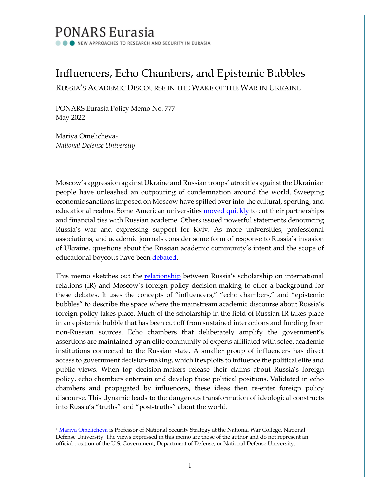# PONARS Eurasia

NEW APPROACHES TO RESEARCH AND SECURITY IN EURASIA

# Influencers, Echo Chambers, and Epistemic Bubbles

RUSSIA'S ACADEMIC DISCOURSE IN THE WAKE OF THE WAR IN UKRAINE

PONARS Eurasia Policy Memo No. 777 May 2022

Mariya Omelicheva[1](#page-0-0) *National Defense University*

Moscow's aggression against Ukraine and Russian troops' atrocities against the Ukrainian people have unleashed an outpouring of condemnation around the world. Sweeping economic sanctions imposed on Moscow have spilled over into the cultural, sporting, and educational realms. Some American universities [moved quickly](https://www.npr.org/2022/03/10/1085792668/colleges-russia-ukraine) to cut their partnerships and financial ties with Russian academe. Others issued powerful statements denouncing Russia's war and expressing support for Kyiv. As more universities, professional associations, and academic journals consider some form of response to Russia's invasion of Ukraine, questions about the Russian academic community's intent and the scope of educational boycotts have been [debated.](https://dailynous.com/2022/03/16/should-there-be-an-academic-boycott-of-russia-and-if-so-who-or-what-would-be-boycotted/)

This memo sketches out the **relationship** between Russia's scholarship on international relations (IR) and Moscow's foreign policy decision-making to offer a background for these debates. It uses the concepts of "influencers," "echo chambers," and "epistemic bubbles" to describe the space where the mainstream academic discourse about Russia's foreign policy takes place. Much of the scholarship in the field of Russian IR takes place in an epistemic bubble that has been cut off from sustained interactions and funding from non-Russian sources. Echo chambers that deliberately amplify the government's assertions are maintained by an elite community of experts affiliated with select academic institutions connected to the Russian state. A smaller group of influencers has direct access to government decision-making, which it exploits to influence the political elite and public views. When top decision-makers release their claims about Russia's foreign policy, echo chambers entertain and develop these political positions. Validated in echo chambers and propagated by influencers, these ideas then re-enter foreign policy discourse. This dynamic leads to the dangerous transformation of ideological constructs into Russia's "truths" and "post-truths" about the world.

<span id="page-0-0"></span><sup>&</sup>lt;sup>1</sup> [Mariya Omelicheva](https://www.ponarseurasia.org/members/mariya-omelicheva) is Professor of National Security Strategy at the National War College, National Defense University. The views expressed in this memo are those of the author and do not represent an official position of the U.S. Government, Department of Defense, or National Defense University.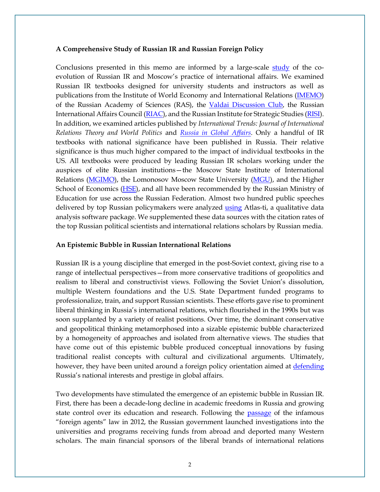#### **A Comprehensive Study of Russian IR and Russian Foreign Policy**

Conclusions presented in this memo are informed by a large-scale [study](https://journals.sagepub.com/doi/pdf/10.1177/2336825X1602400102) of the coevolution of Russian IR and Moscow's practice of international affairs. We examined Russian IR textbooks designed for university students and instructors as well as publications from the Institute of World Economy and International Relations [\(IMEMO\)](https://www.imemo.ru/en) of the Russian Academy of Sciences (RAS), the [Valdai Discussion Club,](https://valdaiclub.com/) the Russian International Affairs Council [\(RIAC\)](https://russiancouncil.ru/en/), and the Russian Institute for Strategic Studies [\(RISI\)](https://riss.ru/). In addition, we examined articles published by *International Trends: Journal of International Relations Theory and World Politics* and *[Russia in Global Affairs](https://eng.globalaffairs.ru/)*. Only a handful of IR textbooks with national significance have been published in Russia. Their relative significance is thus much higher compared to the impact of individual textbooks in the US. All textbooks were produced by leading Russian IR scholars working under the auspices of elite Russian institutions—the Moscow State Institute of International Relations [\(MGIMO\)](https://mgimo.ru/), the Lomonosov Moscow State University [\(MGU\)](https://www.msu.ru/index.php), and the Higher School of Economics [\(HSE\)](https://www.hse.ru/), and all have been recommended by the Russian Ministry of Education for use across the Russian Federation. Almost two hundred public speeches delivered by top Russian policymakers were analyzed [using](https://atlasti.com/research-hub) Atlas-ti, a qualitative data analysis software package. We supplemented these data sources with the citation rates of the top Russian political scientists and international relations scholars by Russian media.

#### **An Epistemic Bubble in Russian International Relations**

Russian IR is a young discipline that emerged in the post-Soviet context, giving rise to a range of intellectual perspectives—from more conservative traditions of geopolitics and realism to liberal and constructivist views. Following the Soviet Union's dissolution, multiple Western foundations and the U.S. State Department funded programs to professionalize, train, and support Russian scientists. These efforts gave rise to prominent liberal thinking in Russia's international relations, which flourished in the 1990s but was soon supplanted by a variety of realist positions. Over time, the dominant conservative and geopolitical thinking metamorphosed into a sizable epistemic bubble characterized by a homogeneity of approaches and isolated from alternative views. The studies that have come out of this epistemic bubble produced conceptual innovations by fusing traditional realist concepts with cultural and civilizational arguments. Ultimately, however, they have been united around a foreign policy orientation aimed at [defending](https://www.routledge.com/Russian-Realism-Defending-Derzhava-in-International-Relations/Tsygankov/p/book/9781032162300) Russia's national interests and prestige in global affairs.

Two developments have stimulated the emergence of an epistemic bubble in Russian IR. First, there has been a decade-long decline in academic freedoms in Russia and growing state control over its education and research. Following the [passage](https://www.dw.com/en/what-is-russias-foreign-agent-law/a-60652752) of the infamous "foreign agents" law in 2012, the Russian government launched investigations into the universities and programs receiving funds from abroad and deported many Western scholars. The main financial sponsors of the liberal brands of international relations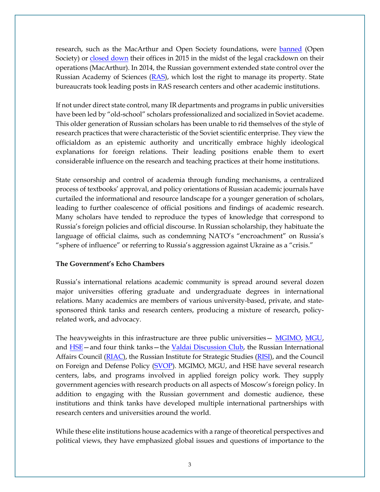research, such as the MacArthur and Open Society foundations, were [banned](https://www.hrw.org/news/2015/12/01/russia-open-society-foundation-banned) (Open Society) or [closed down](https://www.macfound.org/tags/russia) their offices in 2015 in the midst of the legal crackdown on their operations (MacArthur). In 2014, the Russian government extended state control over the Russian Academy of Sciences [\(RAS\)](https://www.ifri.org/sites/default/files/atoms/files/ifri_rnv_77_ran_reforma_eng_dezhina_may_2014.pdf), which lost the right to manage its property. State bureaucrats took leading posts in RAS research centers and other academic institutions.

If not under direct state control, many IR departments and programs in public universities have been led by "old-school" scholars professionalized and socialized in Soviet academe. This older generation of Russian scholars has been unable to rid themselves of the style of research practices that were characteristic of the Soviet scientific enterprise. They view the officialdom as an epistemic authority and uncritically embrace highly ideological explanations for foreign relations. Their leading positions enable them to exert considerable influence on the research and teaching practices at their home institutions.

State censorship and control of academia through funding mechanisms, a centralized process of textbooks' approval, and policy orientations of Russian academic journals have curtailed the informational and resource landscape for a younger generation of scholars, leading to further coalescence of official positions and findings of academic research. Many scholars have tended to reproduce the types of knowledge that correspond to Russia's foreign policies and official discourse. In Russian scholarship, they habituate the language of official claims, such as condemning NATO's "encroachment" on Russia's "sphere of influence" or referring to Russia's aggression against Ukraine as a "crisis."

## **The Government's Echo Chambers**

Russia's international relations academic community is spread around several dozen major universities offering graduate and undergraduate degrees in international relations. Many academics are members of various university-based, private, and statesponsored think tanks and research centers, producing a mixture of research, policyrelated work, and advocacy.

The heavyweights in this infrastructure are three public universities - [MGIMO,](https://mgimo.ru/) MGU, and **HSE**—and four think tanks—the [Valdai Discussion Club,](https://valdaiclub.com/) the Russian International Affairs Council [\(RIAC\)](https://russiancouncil.ru/en/), the Russian Institute for Strategic Studies [\(RISI\)](https://riss.ru/), and the Council on Foreign and Defense Policy [\(SVOP\)](http://www.svop.ru/). MGIMO, MGU, and HSE have several research centers, labs, and programs involved in applied foreign policy work. They supply government agencies with research products on all aspects of Moscow's foreign policy. In addition to engaging with the Russian government and domestic audience, these institutions and think tanks have developed multiple international partnerships with research centers and universities around the world.

While these elite institutions house academics with a range of theoretical perspectives and political views, they have emphasized global issues and questions of importance to the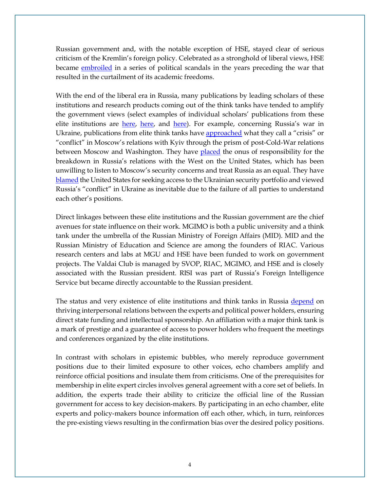Russian government and, with the notable exception of HSE, stayed clear of serious criticism of the Kremlin's foreign policy. Celebrated as a stronghold of liberal views, HSE became [embroiled](https://thebell.io/en/end-of-liberal-era-at-top-russian-university/) in a series of political scandals in the years preceding the war that resulted in the curtailment of its academic freedoms.

With the end of the liberal era in Russia, many publications by leading scholars of these institutions and research products coming out of the think tanks have tended to amplify the government views (select examples of individual scholars' publications from these elite institutions are [here,](https://www.hse.ru/org/persons/1165509#sci) [here,](https://www.hse.ru/staff/karaganov#sci) and [here\)](https://mgimo.ru/people/solovey/). For example, concerning Russia's war in Ukraine, publications from elite think tanks have [approached](https://ru.valdaiclub.com/files/22576/) what they call a "crisis" or "conflict" in Moscow's relations with Kyiv through the prism of post-Cold-War relations between Moscow and Washington. They have [placed](https://russiancouncil.ru/en/activity/publications/managing-differences-on-european-security-in-2015/) the onus of responsibility for the breakdown in Russia's relations with the West on the United States, which has been unwilling to listen to Moscow's security concerns and treat Russia as an equal. They have [blamed](http://vid-1.rian.ru/ig/valdai/ukraine_rus.pdf) the United States for seeking access to the Ukrainian security portfolio and viewed Russia's "conflict" in Ukraine as inevitable due to the failure of all parties to understand each other's positions.

Direct linkages between these elite institutions and the Russian government are the chief avenues for state influence on their work. MGIMO is both a public university and a think tank under the umbrella of the Russian Ministry of Foreign Affairs (MID). MID and the Russian Ministry of Education and Science are among the founders of RIAC. Various research centers and labs at MGU and HSE have been funded to work on government projects. The Valdai Club is managed by SVOP, RIAC, MGIMO, and HSE and is closely associated with the Russian president. RISI was part of Russia's Foreign Intelligence Service but became directly accountable to the Russian president.

The status and very existence of elite institutions and think tanks in Russia [depend](https://www.atlanticcouncil.org/in-depth-research-reports/report/thinking-foreign-policy-in-russia-think-tanks-and-grand-narratives/) on thriving interpersonal relations between the experts and political power holders, ensuring direct state funding and intellectual sponsorship. An affiliation with a major think tank is a mark of prestige and a guarantee of access to power holders who frequent the meetings and conferences organized by the elite institutions.

In contrast with scholars in epistemic bubbles, who merely reproduce government positions due to their limited exposure to other voices, echo chambers amplify and reinforce official positions and insulate them from criticisms. One of the prerequisites for membership in elite expert circles involves general agreement with a core set of beliefs. In addition, the experts trade their ability to criticize the official line of the Russian government for access to key decision-makers. By participating in an echo chamber, elite experts and policy-makers bounce information off each other, which, in turn, reinforces the pre-existing views resulting in the confirmation bias over the desired policy positions.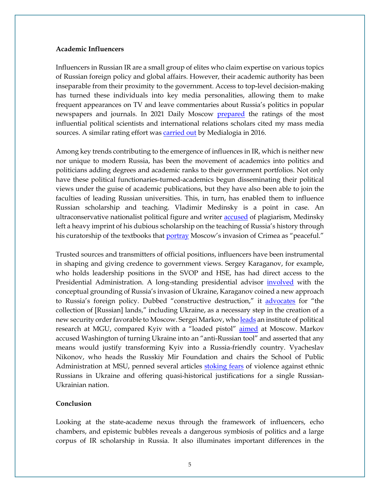#### **Academic Influencers**

Influencers in Russian IR are a small group of elites who claim expertise on various topics of Russian foreign policy and global affairs. However, their academic authority has been inseparable from their proximity to the government. Access to top-level decision-making has turned these individuals into key media personalities, allowing them to make frequent appearances on TV and leave commentaries about Russia's politics in popular newspapers and journals. In 2021 Daily Moscow [prepared](https://dailymoscow.ru/polit/reyting-samyh-vliyatelnyh-politologov-rossii) the ratings of the most influential political scientists and international relations scholars cited my mass media sources. A similar rating effort was [carried out](http://regcomment.ru/ratings/reyting-rossiyskikh-politologov-po-upominaemosti-v-smi-v-2016-godu/) by Medialogia in 2016.

Among key trends contributing to the emergence of influences in IR, which is neither new nor unique to modern Russia, has been the movement of academics into politics and politicians adding degrees and academic ranks to their government portfolios. Not only have these political functionaries-turned-academics begun disseminating their political views under the guise of academic publications, but they have also been able to join the faculties of leading Russian universities. This, in turn, has enabled them to influence Russian scholarship and teaching. Vladimir Medinsky is a point in case. An ultraconservative nationalist political figure and writer [accused](https://www.rferl.org/a/russia-profile-culture-minister-vladimir-medinsky/24602133.html) of plagiarism, Medinsky left a heavy imprint of his dubious scholarship on the teaching of Russia's history through his curatorship of the textbooks that [portray](https://khpg.org/en/1608809430) Moscow's invasion of Crimea as "peaceful."

Trusted sources and transmitters of official positions, influencers have been instrumental in shaping and giving credence to government views. Sergey Karaganov, for example, who holds leadership positions in the SVOP and HSE, has had direct access to the Presidential Administration. A long-standing presidential advisor *[involved](https://globalaffairs.ru/articles/ot-razrusheniya-k-sobiraniyu/)* with the conceptual grounding of Russia's invasion of Ukraine, Karaganov coined a new approach to Russia's foreign policy. Dubbed "constructive destruction," it [advocates](https://globalaffairs.ru/articles/ot-razrusheniya-k-sobiraniyu/) for "the collection of [Russian] lands," including Ukraine, as a necessary step in the creation of a new security order favorable to Moscow. Sergei Markov, wh[o leads a](http://www.ipi-rf.ru/markov.php)n institute of political research at MGU, compared Kyiv with a "loaded pistol" [aimed](https://er.ru/activity/news/vyacheslav-nikonov-nam-nuzhna-ukraina-kotoraya-nahoditsya-v-druzhestvennyh-konstruktivnyh-otnosheniyah-s-rossiej) at Moscow. Markov accused Washington of turning Ukraine into an "anti-Russian tool" and asserted that any means would justify transforming Kyiv into a Russia-friendly country. Vyacheslav Nikonov, who heads the Russkiy Mir Foundation and chairs the School of Public Administration at MSU, penned several articles [stoking fears](http://svop.ru/main/31937/) of violence against ethnic Russians in Ukraine and offering quasi-historical justifications for a single Russian-Ukrainian nation.

### **Conclusion**

Looking at the state-academe nexus through the framework of influencers, echo chambers, and epistemic bubbles reveals a dangerous symbiosis of politics and a large corpus of IR scholarship in Russia. It also illuminates important differences in the